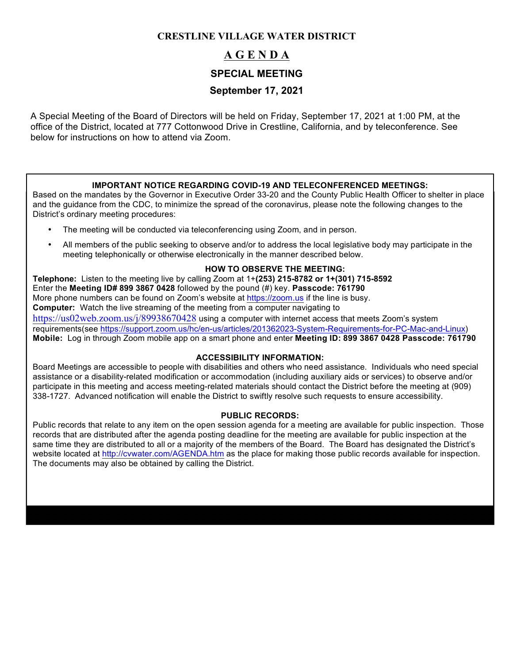## **CRESTLINE VILLAGE WATER DISTRICT**

# **A G E N D A**

## **SPECIAL MEETING**

# **September 17, 2021**

A Special Meeting of the Board of Directors will be held on Friday, September 17, 2021 at 1:00 PM, at the office of the District, located at 777 Cottonwood Drive in Crestline, California, and by teleconference. See below for instructions on how to attend via Zoom.

#### **IMPORTANT NOTICE REGARDING COVID-19 AND TELECONFERENCED MEETINGS:**

Based on the mandates by the Governor in Executive Order 33-20 and the County Public Health Officer to shelter in place and the guidance from the CDC, to minimize the spread of the coronavirus, please note the following changes to the District's ordinary meeting procedures:

- The meeting will be conducted via teleconferencing using Zoom, and in person.
- All members of the public seeking to observe and/or to address the local legislative body may participate in the meeting telephonically or otherwise electronically in the manner described below.

#### **HOW TO OBSERVE THE MEETING:**

**Telephone:** Listen to the meeting live by calling Zoom at 1+**(253) 215-8782 or 1+(301) 715-8592**  Enter the **Meeting ID# 899 3867 0428** followed by the pound (#) key. **Passcode: 761790** More phone numbers can be found on Zoom's website at https://zoom.us if the line is busy. **Computer:** Watch the live streaming of the meeting from a computer navigating to https://us02web.zoom.us/j/89938670428 using a computer with internet access that meets Zoom's system requirements(see https://support.zoom.us/hc/en-us/articles/201362023-System-Requirements-for-PC-Mac-and-Linux) **Mobile:** Log in through Zoom mobile app on a smart phone and enter **Meeting ID: 899 3867 0428 Passcode: 761790**

### **ACCESSIBILITY INFORMATION:**

Board Meetings are accessible to people with disabilities and others who need assistance. Individuals who need special assistance or a disability-related modification or accommodation (including auxiliary aids or services) to observe and/or participate in this meeting and access meeting-related materials should contact the District before the meeting at (909) 338-1727. Advanced notification will enable the District to swiftly resolve such requests to ensure accessibility.

#### **PUBLIC RECORDS:**

Public records that relate to any item on the open session agenda for a meeting are available for public inspection. Those records that are distributed after the agenda posting deadline for the meeting are available for public inspection at the same time they are distributed to all or a majority of the members of the Board. The Board has designated the District's website located at http://cvwater.com/AGENDA.htm as the place for making those public records available for inspection. The documents may also be obtained by calling the District.